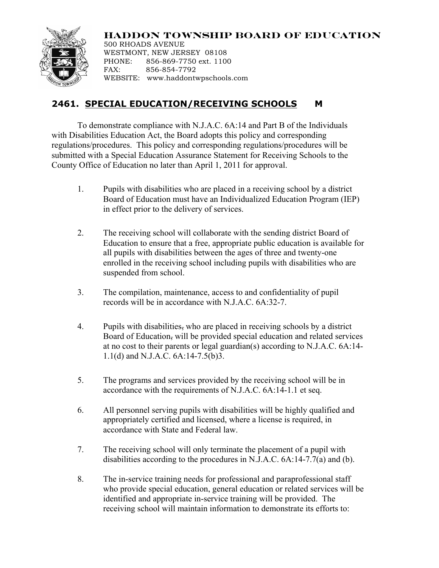## **HADDON TOWNSHIP BOARD OF EDUCATION**



500 RHOADS AVENUE WESTMONT, NEW JERSEY 08108 PHONE: 856-869-7750 ext. 1100 FAX: 856-854-7792 WEBSITE: www.haddontwpschools.com

## **2461. SPECIAL EDUCATION/RECEIVING SCHOOLS M**

To demonstrate compliance with N.J.A.C. 6A:14 and Part B of the Individuals with Disabilities Education Act, the Board adopts this policy and corresponding regulations/procedures. This policy and corresponding regulations/procedures will be submitted with a Special Education Assurance Statement for Receiving Schools to the County Office of Education no later than April 1, 2011 for approval.

- 1. Pupils with disabilities who are placed in a receiving school by a district Board of Education must have an Individualized Education Program (IEP) in effect prior to the delivery of services.
- 2. The receiving school will collaborate with the sending district Board of Education to ensure that a free, appropriate public education is available for all pupils with disabilities between the ages of three and twenty-one enrolled in the receiving school including pupils with disabilities who are suspended from school.
- 3. The compilation, maintenance, access to and confidentiality of pupil records will be in accordance with N.J.A.C. 6A:32-7.
- 4. Pupils with disabilities, who are placed in receiving schools by a district Board of Education, will be provided special education and related services at no cost to their parents or legal guardian(s) according to N.J.A.C. 6A:14- 1.1(d) and N.J.A.C. 6A:14-7.5(b)3.
- 5. The programs and services provided by the receiving school will be in accordance with the requirements of N.J.A.C. 6A:14-1.1 et seq.
- 6. All personnel serving pupils with disabilities will be highly qualified and appropriately certified and licensed, where a license is required, in accordance with State and Federal law.
- 7. The receiving school will only terminate the placement of a pupil with disabilities according to the procedures in N.J.A.C. 6A:14-7.7(a) and (b).
- 8. The in-service training needs for professional and paraprofessional staff who provide special education, general education or related services will be identified and appropriate in-service training will be provided. The receiving school will maintain information to demonstrate its efforts to: